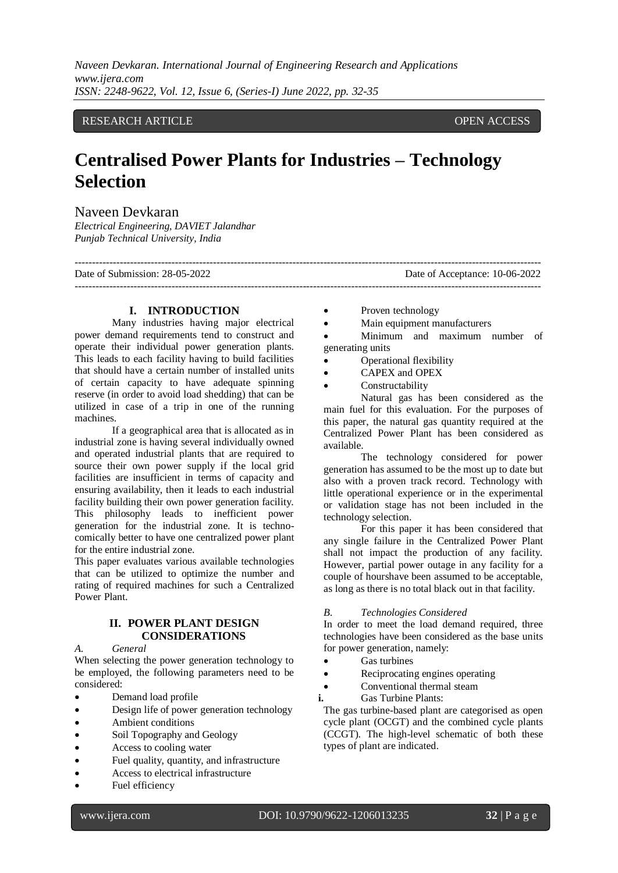### RESEARCH ARTICLE **CONTRACT ARTICLE**

# **Centralised Power Plants for Industries – Technology Selection**

### Naveen Devkaran

*Electrical Engineering, DAVIET Jalandhar Punjab Technical University, India*

---------------------------------------------------------------------------------------------------------------------------------------

Date of Submission: 28-05-2022 Date of Acceptance: 10-06-2022

## **I. INTRODUCTION**

Many industries having major electrical power demand requirements tend to construct and operate their individual power generation plants. This leads to each facility having to build facilities that should have a certain number of installed units of certain capacity to have adequate spinning reserve (in order to avoid load shedding) that can be utilized in case of a trip in one of the running machines.

If a geographical area that is allocated as in industrial zone is having several individually owned and operated industrial plants that are required to source their own power supply if the local grid facilities are insufficient in terms of capacity and ensuring availability, then it leads to each industrial facility building their own power generation facility. This philosophy leads to inefficient power generation for the industrial zone. It is technocomically better to have one centralized power plant for the entire industrial zone.

This paper evaluates various available technologies that can be utilized to optimize the number and rating of required machines for such a Centralized Power Plant.

#### **II. POWER PLANT DESIGN CONSIDERATIONS**

#### *A. General*

When selecting the power generation technology to be employed, the following parameters need to be considered:

- Demand load profile
- Design life of power generation technology
- Ambient conditions
- Soil Topography and Geology
- Access to cooling water
- Fuel quality, quantity, and infrastructure
- Access to electrical infrastructure
- Fuel efficiency

• Proven technology

---------------------------------------------------------------------------------------------------------------------------------------

Main equipment manufacturers

 Minimum and maximum number of generating units

- Operational flexibility
- CAPEX and OPEX
- Constructability

Natural gas has been considered as the main fuel for this evaluation. For the purposes of this paper, the natural gas quantity required at the Centralized Power Plant has been considered as available.

The technology considered for power generation has assumed to be the most up to date but also with a proven track record. Technology with little operational experience or in the experimental or validation stage has not been included in the technology selection.

For this paper it has been considered that any single failure in the Centralized Power Plant shall not impact the production of any facility. However, partial power outage in any facility for a couple of hourshave been assumed to be acceptable, as long as there is no total black out in that facility.

#### *B. Technologies Considered*

In order to meet the load demand required, three technologies have been considered as the base units for power generation, namely:

- Gas turbines
- Reciprocating engines operating
- Conventional thermal steam
- **i.** Gas Turbine Plants:

The gas turbine-based plant are categorised as open cycle plant (OCGT) and the combined cycle plants (CCGT). The high-level schematic of both these types of plant are indicated.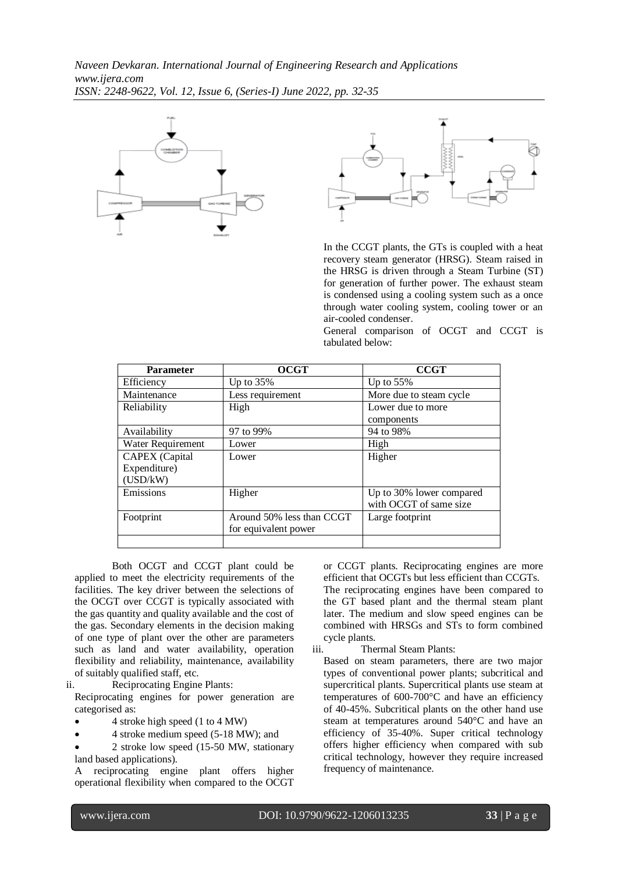



In the CCGT plants, the GTs is coupled with a heat recovery steam generator (HRSG). Steam raised in the HRSG is driven through a Steam Turbine (ST) for generation of further power. The exhaust steam is condensed using a cooling system such as a once through water cooling system, cooling tower or an air-cooled condenser.

General comparison of OCGT and CCGT is tabulated below:

| <b>Parameter</b>      | <b>OCGT</b>               | <b>CCGT</b>              |
|-----------------------|---------------------------|--------------------------|
| Efficiency            | Up to $35\%$              | Up to $55\%$             |
| Maintenance           | Less requirement          | More due to steam cycle  |
| Reliability           | High                      | Lower due to more        |
|                       |                           | components               |
| Availability          | 97 to 99%                 | 94 to 98%                |
| Water Requirement     | Lower                     | High                     |
| <b>CAPEX</b> (Capital | Lower                     | Higher                   |
| Expenditure)          |                           |                          |
| (USD/kW)              |                           |                          |
| Emissions             | Higher                    | Up to 30% lower compared |
|                       |                           | with OCGT of same size   |
| Footprint             | Around 50% less than CCGT | Large footprint          |
|                       | for equivalent power      |                          |
|                       |                           |                          |

Both OCGT and CCGT plant could be applied to meet the electricity requirements of the facilities. The key driver between the selections of the OCGT over CCGT is typically associated with the gas quantity and quality available and the cost of the gas. Secondary elements in the decision making of one type of plant over the other are parameters such as land and water availability, operation flexibility and reliability, maintenance, availability of suitably qualified staff, etc.

ii. Reciprocating Engine Plants:

Reciprocating engines for power generation are categorised as:

- 4 stroke high speed (1 to 4 MW)
- 4 stroke medium speed (5-18 MW); and
- 2 stroke low speed (15-50 MW, stationary land based applications).

A reciprocating engine plant offers higher operational flexibility when compared to the OCGT or CCGT plants. Reciprocating engines are more efficient that OCGTs but less efficient than CCGTs. The reciprocating engines have been compared to the GT based plant and the thermal steam plant later. The medium and slow speed engines can be combined with HRSGs and STs to form combined cycle plants.

iii. Thermal Steam Plants:

Based on steam parameters, there are two major types of conventional power plants; subcritical and supercritical plants. Supercritical plants use steam at temperatures of 600-700°C and have an efficiency of 40-45%. Subcritical plants on the other hand use steam at temperatures around 540°C and have an efficiency of 35-40%. Super critical technology offers higher efficiency when compared with sub critical technology, however they require increased frequency of maintenance.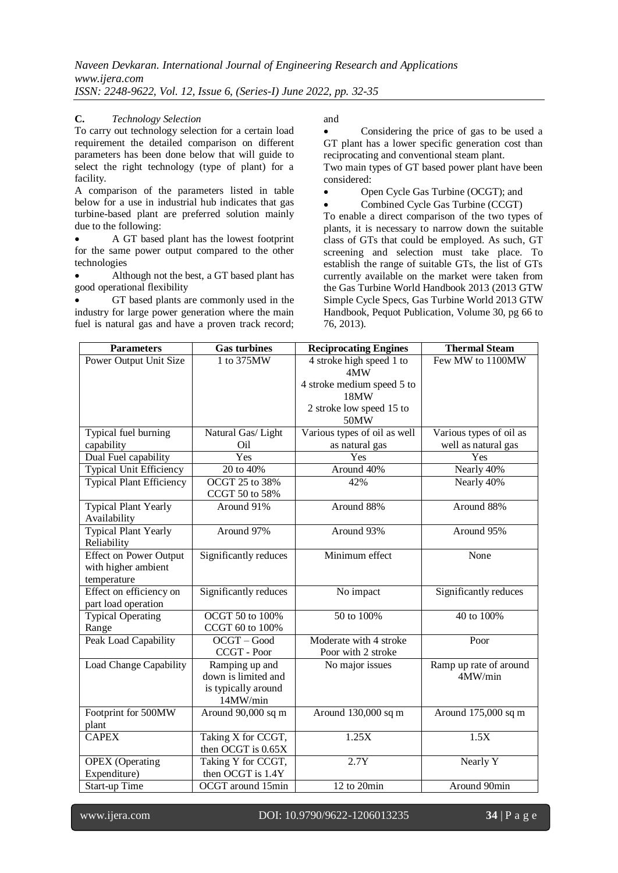#### **C.** *Technology Selection*

To carry out technology selection for a certain load requirement the detailed comparison on different parameters has been done below that will guide to select the right technology (type of plant) for a facility.

A comparison of the parameters listed in table below for a use in industrial hub indicates that gas turbine-based plant are preferred solution mainly due to the following:

 A GT based plant has the lowest footprint for the same power output compared to the other technologies

 Although not the best, a GT based plant has good operational flexibility

 GT based plants are commonly used in the industry for large power generation where the main fuel is natural gas and have a proven track record; and

 Considering the price of gas to be used a GT plant has a lower specific generation cost than reciprocating and conventional steam plant.

Two main types of GT based power plant have been considered:

Open Cycle Gas Turbine (OCGT); and

Combined Cycle Gas Turbine (CCGT)

To enable a direct comparison of the two types of plants, it is necessary to narrow down the suitable class of GTs that could be employed. As such, GT screening and selection must take place. To establish the range of suitable GTs, the list of GTs currently available on the market were taken from the Gas Turbine World Handbook 2013 (2013 GTW Simple Cycle Specs, Gas Turbine World 2013 GTW Handbook, Pequot Publication, Volume 30, pg 66 to 76, 2013).

| <b>Parameters</b>                           | <b>Gas turbines</b>              | <b>Reciprocating Engines</b>       | <b>Thermal Steam</b>    |
|---------------------------------------------|----------------------------------|------------------------------------|-------------------------|
| Power Output Unit Size                      | 1 to 375MW                       | 4 stroke high speed 1 to           | Few MW to 1100MW        |
|                                             |                                  | 4MW                                |                         |
|                                             |                                  | 4 stroke medium speed 5 to<br>18MW |                         |
|                                             |                                  | 2 stroke low speed 15 to           |                         |
|                                             |                                  | 50MW                               |                         |
| Typical fuel burning                        | Natural Gas/ Light               | Various types of oil as well       | Various types of oil as |
| capability                                  | Oil                              | as natural gas                     | well as natural gas     |
| Dual Fuel capability                        | Yes                              | Yes                                | Yes                     |
| <b>Typical Unit Efficiency</b>              | $\overline{20}$ to 40%           | Around 40%                         | Nearly 40%              |
| <b>Typical Plant Efficiency</b>             | OCGT 25 to 38%<br>CCGT 50 to 58% | 42%                                | Nearly 40%              |
| <b>Typical Plant Yearly</b><br>Availability | Around 91%                       | Around 88%                         | Around 88%              |
| <b>Typical Plant Yearly</b><br>Reliability  | Around 97%                       | Around 93%                         | Around 95%              |
| <b>Effect on Power Output</b>               | Significantly reduces            | Minimum effect                     | None                    |
| with higher ambient                         |                                  |                                    |                         |
| temperature                                 |                                  |                                    |                         |
| Effect on efficiency on                     | Significantly reduces            | No impact                          | Significantly reduces   |
| part load operation                         |                                  |                                    |                         |
| <b>Typical Operating</b>                    | OCGT 50 to 100%                  | 50 to 100%                         | 40 to 100%              |
| Range                                       | CCGT 60 to 100%                  |                                    |                         |
| Peak Load Capability                        | $\overline{OCGT - Good}$         | Moderate with 4 stroke             | Poor                    |
|                                             | $CCGT - Poor$                    | Poor with 2 stroke                 |                         |
| Load Change Capability                      | Ramping up and                   | No major issues                    | Ramp up rate of around  |
|                                             | down is limited and              |                                    | 4MW/min                 |
|                                             | is typically around<br>14MW/min  |                                    |                         |
| Footprint for 500MW                         | Around 90,000 sq m               | Around 130,000 sq m                | Around 175,000 sq m     |
| plant                                       |                                  |                                    |                         |
| <b>CAPEX</b>                                | Taking X for CCGT,               | 1.25X                              | 1.5X                    |
|                                             | then OCGT is 0.65X               |                                    |                         |
| <b>OPEX</b> (Operating                      | Taking Y for CCGT,               | 2.7Y                               | Nearly Y                |
| Expenditure)                                | then OCGT is 1.4Y                |                                    |                         |
| <b>Start-up Time</b>                        | OCGT around 15min                | 12 to 20min                        | Around 90min            |

www.ijera.com DOI: 10.9790/9622-1206013235 **34** | P a g e